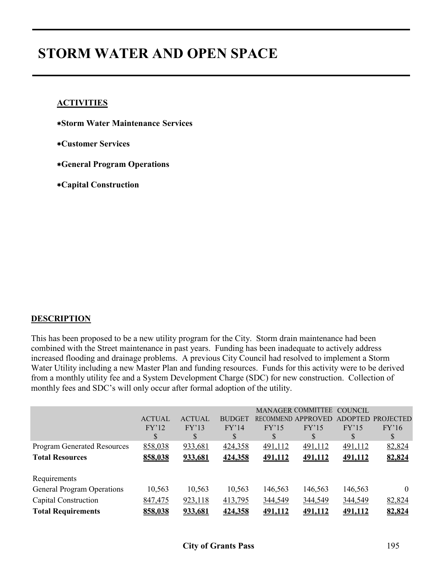# **STORM WATER AND OPEN SPACE**

## **ACTIVITIES**

- ∗**Storm Water Maintenance Services**
- ∗**Customer Services**
- ∗**General Program Operations**
- ∗**Capital Construction**

# **DESCRIPTION**

This has been proposed to be a new utility program for the City. Storm drain maintenance had been combined with the Street maintenance in past years. Funding has been inadequate to actively address increased flooding and drainage problems. A previous City Council had resolved to implement a Storm Water Utility including a new Master Plan and funding resources. Funds for this activity were to be derived from a monthly utility fee and a System Development Charge (SDC) for new construction. Collection of monthly fees and SDC's will only occur after formal adoption of the utility.

|                                    |               |               |               |         | MANAGER COMMITTEE COUNCIL |                |                   |
|------------------------------------|---------------|---------------|---------------|---------|---------------------------|----------------|-------------------|
|                                    | <b>ACTUAL</b> | <b>ACTUAL</b> | <b>BUDGET</b> |         | RECOMMEND APPROVED        |                | ADOPTED PROJECTED |
|                                    | FY'12         | FY'13         | FY'14         | FY'15   | FY'15                     | FY'15          | FY'16             |
|                                    | S             | S             |               |         | S                         | S              |                   |
| <b>Program Generated Resources</b> | 858,038       | 933,681       | 424,358       | 491,112 | 491,112                   | 491,112        | 82,824            |
| <b>Total Resources</b>             | 858,038       | 933,681       | 424,358       | 491,112 | 491,112                   | 491,112        | 82,824            |
|                                    |               |               |               |         |                           |                |                   |
| Requirements                       |               |               |               |         |                           |                |                   |
| <b>General Program Operations</b>  | 10,563        | 10,563        | 10,563        | 146,563 | 146,563                   | 146,563        | $\theta$          |
| Capital Construction               | 847,475       | 923,118       | 413,795       | 344,549 | 344,549                   | 344,549        | 82,824            |
| <b>Total Requirements</b>          | 858.038       | 933.681       | 424.358       | 491.112 | <u>491,112</u>            | <u>491,112</u> | 82,824            |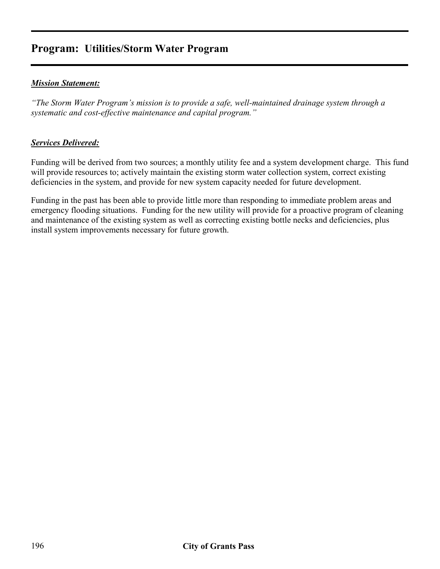# **Program: Utilities/Storm Water Program**

## *Mission Statement:*

*"The Storm Water Program's mission is to provide a safe, well-maintained drainage system through a systematic and cost-effective maintenance and capital program."* 

### *Services Delivered:*

Funding will be derived from two sources; a monthly utility fee and a system development charge. This fund will provide resources to; actively maintain the existing storm water collection system, correct existing deficiencies in the system, and provide for new system capacity needed for future development.

Funding in the past has been able to provide little more than responding to immediate problem areas and emergency flooding situations. Funding for the new utility will provide for a proactive program of cleaning and maintenance of the existing system as well as correcting existing bottle necks and deficiencies, plus install system improvements necessary for future growth.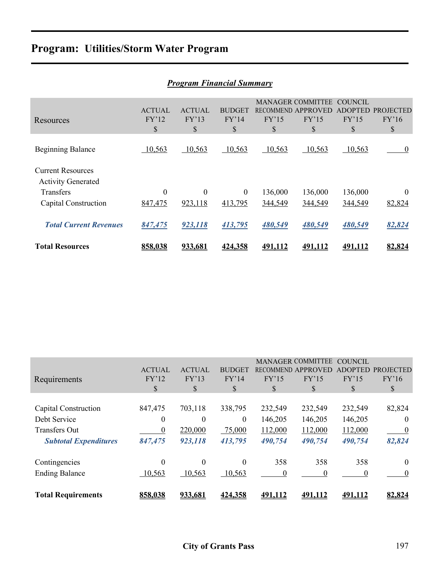# **Program: Utilities/Storm Water Program**

|                                                       |                              | Program Financiai Summary    |                              |                |                                                               |                                          |                                 |
|-------------------------------------------------------|------------------------------|------------------------------|------------------------------|----------------|---------------------------------------------------------------|------------------------------------------|---------------------------------|
| Resources                                             | <b>ACTUAL</b><br>FY'12<br>\$ | <b>ACTUAL</b><br>FY'13<br>\$ | <b>BUDGET</b><br>FY'14<br>\$ | FY'15<br>\$    | <b>MANAGER COMMITTEE</b><br>RECOMMEND APPROVED<br>FY'15<br>\$ | <b>COUNCIL</b><br>ADOPTED<br>FY'15<br>\$ | <b>PROJECTED</b><br>FY'16<br>\$ |
| <b>Beginning Balance</b>                              | 10,563                       | 10,563                       | 10,563                       | 10,563         | 10,563                                                        | 10,563                                   | $\boldsymbol{0}$                |
| <b>Current Resources</b><br><b>Activity Generated</b> |                              |                              |                              |                |                                                               |                                          |                                 |
| Transfers                                             | $\overline{0}$               | $\theta$                     | $\theta$                     | 136,000        | 136,000                                                       | 136,000                                  | $\theta$                        |
| Capital Construction                                  | 847,475                      | 923,118                      | 413,795                      | 344,549        | 344,549                                                       | 344,549                                  | 82,824                          |
| <b>Total Current Revenues</b>                         | 847,475                      | 923,118                      | 413,795                      | 480,549        | 480,549                                                       | 480,549                                  | 82,824                          |
| <b>Total Resources</b>                                | 858.038                      | 933,681                      | 424,358                      | <u>491.112</u> | <u>491.112</u>                                                | 491,112                                  | 82,824                          |

|  | <b>Program Financial Summary</b> |  |  |
|--|----------------------------------|--|--|
|--|----------------------------------|--|--|

| Requirements                                                                                 | <b>ACTUAL</b><br>FY'12<br>\$  | <b>ACTUAL</b><br>FY'13<br>S               | <b>BUDGET</b><br>FY'14<br>S              | FY'15<br>\$                              | <b>MANAGER COMMITTEE</b><br>RECOMMEND APPROVED<br>FY'15<br>\$ | <b>COUNCIL</b><br>FY'15<br>\$            | <b>ADOPTED PROJECTED</b><br>FY'16<br>\$ |
|----------------------------------------------------------------------------------------------|-------------------------------|-------------------------------------------|------------------------------------------|------------------------------------------|---------------------------------------------------------------|------------------------------------------|-----------------------------------------|
| Capital Construction<br>Debt Service<br><b>Transfers Out</b><br><b>Subtotal Expenditures</b> | 847,475<br>0<br>0<br>847,475  | 703,118<br>$\Omega$<br>220,000<br>923,118 | 338,795<br>$\theta$<br>75,000<br>413,795 | 232,549<br>146,205<br>112,000<br>490,754 | 232,549<br>146,205<br>112,000<br>490,754                      | 232,549<br>146,205<br>112,000<br>490,754 | 82,824<br>0<br>$\theta$<br>82,824       |
| Contingencies<br><b>Ending Balance</b><br><b>Total Requirements</b>                          | $\theta$<br>10,563<br>858,038 | $\Omega$<br>10,563<br>933,681             | $\Omega$<br>10,563<br>424,358            | 358<br>$\Omega$<br>491,112               | 358<br>$\theta$<br>491,112                                    | 358<br>$\Omega$<br>491,112               | $\theta$<br>82,824                      |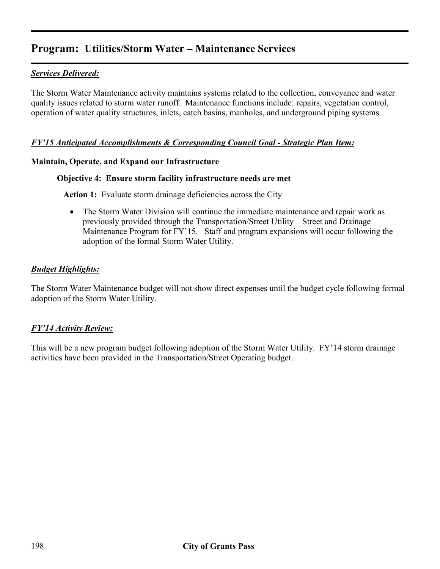# **Program: Utilities/Storm Water – Maintenance Services**

# *Services Delivered:*

The Storm Water Maintenance activity maintains systems related to the collection, conveyance and water quality issues related to storm water runoff. Maintenance functions include: repairs, vegetation control, operation of water quality structures, inlets, catch basins, manholes, and underground piping systems.

#### *FY'15 Anticipated Accomplishments & Corresponding Council Goal - Strategic Plan Item:*

#### **Maintain, Operate, and Expand our Infrastructure**

#### **Objective 4: Ensure storm facility infrastructure needs are met**

 **Action 1:** Evaluate storm drainage deficiencies across the City

• The Storm Water Division will continue the immediate maintenance and repair work as previously provided through the Transportation/Street Utility – Street and Drainage Maintenance Program for FY'15. Staff and program expansions will occur following the adoption of the formal Storm Water Utility.

### *Budget Highlights:*

The Storm Water Maintenance budget will not show direct expenses until the budget cycle following formal adoption of the Storm Water Utility.

### *FY'14 Activity Review:*

This will be a new program budget following adoption of the Storm Water Utility. FY'14 storm drainage activities have been provided in the Transportation/Street Operating budget.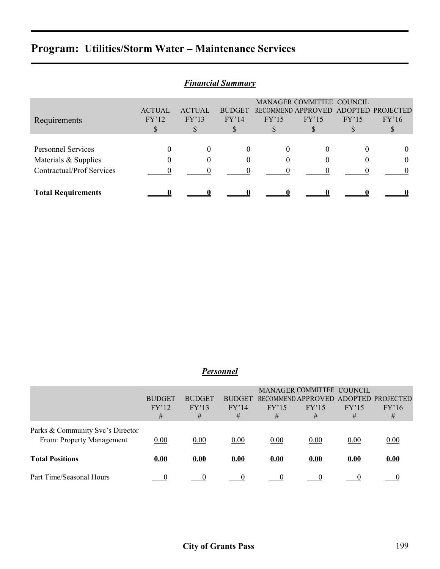# **Program: Utilities/Storm Water – Maintenance Services**

| <b>Financial Summary</b>         |                           |               |               |          |                                      |       |       |  |
|----------------------------------|---------------------------|---------------|---------------|----------|--------------------------------------|-------|-------|--|
|                                  | MANAGER COMMITTEE COUNCIL |               |               |          |                                      |       |       |  |
|                                  | <b>ACTUAL</b>             | <b>ACTUAL</b> | <b>BUDGET</b> |          | RECOMMEND APPROVED ADOPTED PROJECTED |       |       |  |
| Requirements                     | FY'12                     | FY'13         | FY'14         | FY'15    | FY'15                                | FY'15 | FY'16 |  |
|                                  | \$                        | У,            | S             |          | Ъ.                                   |       |       |  |
|                                  |                           |               |               |          |                                      |       |       |  |
| <b>Personnel Services</b>        |                           | $\Omega$      | $\theta$      | $\theta$ | $\theta$                             |       |       |  |
| Materials & Supplies             | 0                         |               | $\theta$      | $\theta$ |                                      |       |       |  |
| <b>Contractual/Prof Services</b> |                           |               |               |          |                                      |       |       |  |
| <b>Total Requirements</b>        |                           |               |               |          |                                      |       |       |  |

# *Personnel*

|                                  |               |               |               |       | MANAGER COMMITTEE COUNCIL |       |                                      |
|----------------------------------|---------------|---------------|---------------|-------|---------------------------|-------|--------------------------------------|
|                                  | <b>BUDGET</b> | <b>BUDGET</b> | <b>BUDGET</b> |       |                           |       | RECOMMEND APPROVED ADOPTED PROJECTED |
|                                  | FY'12         | FY'13         | FY'14         | FY'15 | FY'15                     | FY'15 | FY'16                                |
|                                  | #             | #             | #             | #     | #                         | #     | #                                    |
| Parks & Community Svc's Director |               |               |               |       |                           |       |                                      |
| From: Property Management        | 0.00          | 0.00          | 0.00          | 0.00  | 0.00                      | 0.00  | 0.00                                 |
| <b>Total Positions</b>           | 0.00          | 0.00          | 0.00          | 0.00  | 0.00                      | 0.00  | 0.00                                 |
| Part Time/Seasonal Hours         |               |               |               |       |                           |       |                                      |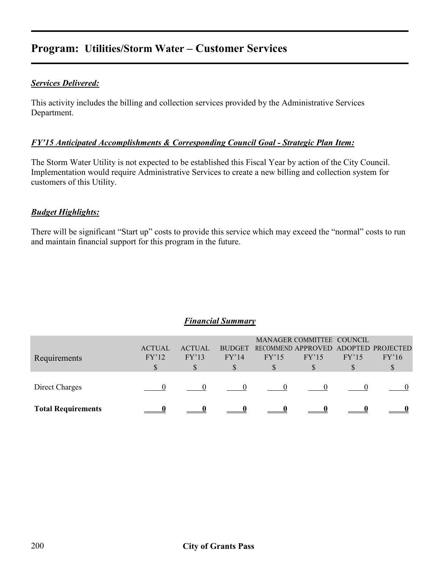# **Program: Utilities/Storm Water – Customer Services**

## *Services Delivered:*

This activity includes the billing and collection services provided by the Administrative Services Department.

#### *FY'15 Anticipated Accomplishments & Corresponding Council Goal - Strategic Plan Item:*

The Storm Water Utility is not expected to be established this Fiscal Year by action of the City Council. Implementation would require Administrative Services to create a new billing and collection system for customers of this Utility.

### *Budget Highlights:*

There will be significant "Start up" costs to provide this service which may exceed the "normal" costs to run and maintain financial support for this program in the future.

| Direct Charges            | S |  | S |  | P |
|---------------------------|---|--|---|--|---|
| <b>Total Requirements</b> |   |  |   |  |   |

#### *Financial Summary*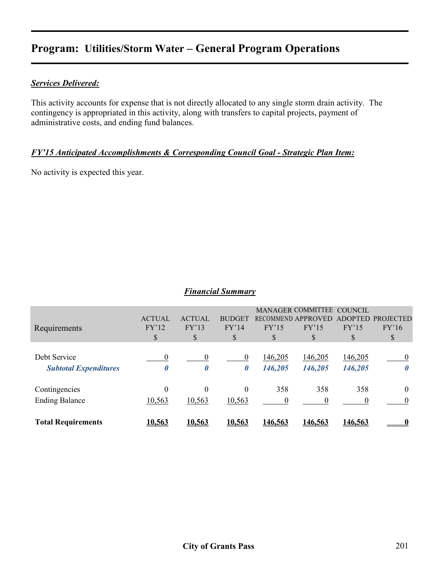# **Program: Utilities/Storm Water – General Program Operations**

#### *Services Delivered:*

This activity accounts for expense that is not directly allocated to any single storm drain activity. The contingency is appropriated in this activity, along with transfers to capital projects, payment of administrative costs, and ending fund balances.

### *FY'15 Anticipated Accomplishments & Corresponding Council Goal - Strategic Plan Item:*

No activity is expected this year.

#### *Financial Summary*

| Requirements                                 | <b>ACTUAL</b><br>FY'12<br>\$            | <b>ACTUAL</b><br>FY'13<br>\$ | <b>BUDGET</b><br>FY'14<br><sup>S</sup>  | FY'15<br>S         | MANAGER COMMITTEE COUNCIL<br><b>RECOMMEND APPROVED</b><br>FY'15<br>S | <b>ADOPTED</b><br>FY'15<br>S | <b>PROJECTED</b><br>FY'16<br>S    |
|----------------------------------------------|-----------------------------------------|------------------------------|-----------------------------------------|--------------------|----------------------------------------------------------------------|------------------------------|-----------------------------------|
| Debt Service<br><b>Subtotal Expenditures</b> | $\overline{0}$<br>$\boldsymbol{\theta}$ | $\theta$<br>0                | $\overline{0}$<br>$\boldsymbol{\theta}$ | 146,205<br>146,205 | 146,205<br>146,205                                                   | 146,205<br>146,205           | $\theta$<br>$\boldsymbol{\theta}$ |
| Contingencies<br><b>Ending Balance</b>       | $\overline{0}$<br>10,563                | $\theta$<br>10,563           | $\theta$<br>10,563                      | 358                | 358<br>0                                                             | 358                          | $\theta$<br>$\Omega$              |
| <b>Total Requirements</b>                    | <u>10,563</u>                           | 10,563                       | 10,563                                  | <u>146,563</u>     | <u>146,563</u>                                                       | <u>146,563</u>               |                                   |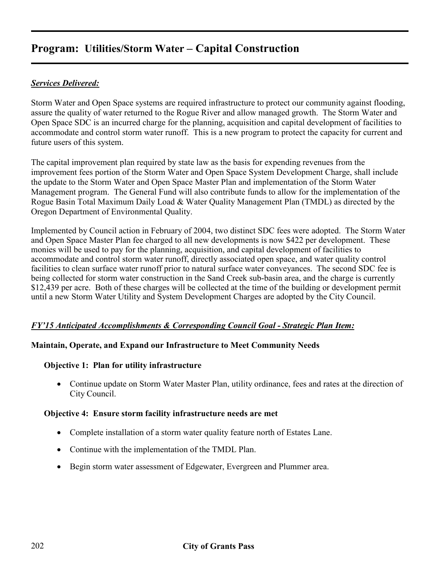# *Services Delivered:*

Storm Water and Open Space systems are required infrastructure to protect our community against flooding, assure the quality of water returned to the Rogue River and allow managed growth. The Storm Water and Open Space SDC is an incurred charge for the planning, acquisition and capital development of facilities to accommodate and control storm water runoff. This is a new program to protect the capacity for current and future users of this system.

The capital improvement plan required by state law as the basis for expending revenues from the improvement fees portion of the Storm Water and Open Space System Development Charge, shall include the update to the Storm Water and Open Space Master Plan and implementation of the Storm Water Management program. The General Fund will also contribute funds to allow for the implementation of the Rogue Basin Total Maximum Daily Load & Water Quality Management Plan (TMDL) as directed by the Oregon Department of Environmental Quality.

Implemented by Council action in February of 2004, two distinct SDC fees were adopted. The Storm Water and Open Space Master Plan fee charged to all new developments is now \$422 per development. These monies will be used to pay for the planning, acquisition, and capital development of facilities to accommodate and control storm water runoff, directly associated open space, and water quality control facilities to clean surface water runoff prior to natural surface water conveyances. The second SDC fee is being collected for storm water construction in the Sand Creek sub-basin area, and the charge is currently \$12,439 per acre. Both of these charges will be collected at the time of the building or development permit until a new Storm Water Utility and System Development Charges are adopted by the City Council.

# *FY'15 Anticipated Accomplishments & Corresponding Council Goal - Strategic Plan Item:*

### **Maintain, Operate, and Expand our Infrastructure to Meet Community Needs**

### **Objective 1: Plan for utility infrastructure**

• Continue update on Storm Water Master Plan, utility ordinance, fees and rates at the direction of City Council.

### **Objective 4: Ensure storm facility infrastructure needs are met**

- Complete installation of a storm water quality feature north of Estates Lane.
- Continue with the implementation of the TMDL Plan.
- Begin storm water assessment of Edgewater, Evergreen and Plummer area.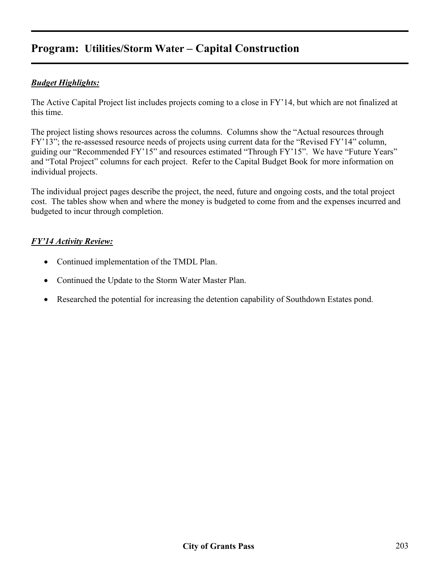# *Budget Highlights:*

The Active Capital Project list includes projects coming to a close in FY'14, but which are not finalized at this time.

The project listing shows resources across the columns. Columns show the "Actual resources through FY'13"; the re-assessed resource needs of projects using current data for the "Revised FY'14" column, guiding our "Recommended FY'15" and resources estimated "Through FY'15". We have "Future Years" and "Total Project" columns for each project. Refer to the Capital Budget Book for more information on individual projects.

The individual project pages describe the project, the need, future and ongoing costs, and the total project cost. The tables show when and where the money is budgeted to come from and the expenses incurred and budgeted to incur through completion.

# *FY'14 Activity Review:*

- Continued implementation of the TMDL Plan.
- Continued the Update to the Storm Water Master Plan.
- Researched the potential for increasing the detention capability of Southdown Estates pond.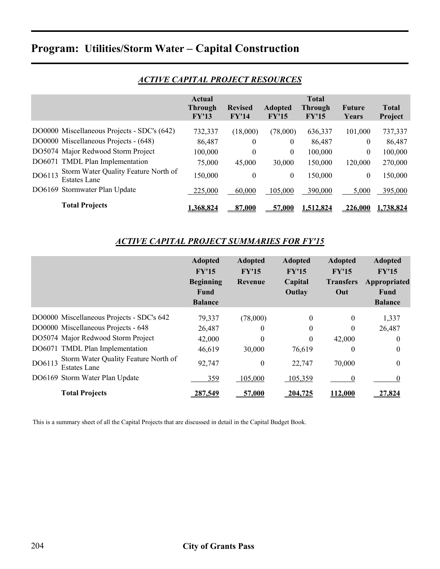|        |                                                      | Actual    |                |                |           |          |              |
|--------|------------------------------------------------------|-----------|----------------|----------------|-----------|----------|--------------|
|        |                                                      | Through   | <b>Revised</b> | <b>Adopted</b> | Through   | Future   | <b>Total</b> |
|        |                                                      | FY'13     | FY'14          | FY'15          | FY'15     | Years    | Project      |
|        | DO0000 Miscellaneous Projects - SDC's (642)          | 732,337   | (18,000)       | (78,000)       | 636,337   | 101,000  | 737,337      |
|        | DO0000 Miscellaneous Projects - (648)                | 86,487    | $\theta$       | $\theta$       | 86,487    | $\theta$ | 86,487       |
|        | DO5074 Major Redwood Storm Project                   | 100,000   | $\theta$       | $\overline{0}$ | 100,000   | $\theta$ | 100,000      |
|        | DO6071 TMDL Plan Implementation                      | 75,000    | 45,000         | 30,000         | 150,000   | 120,000  | 270,000      |
| DO6113 | Storm Water Quality Feature North of<br>Estates Lane | 150,000   | $\overline{0}$ | $\overline{0}$ | 150,000   | $\theta$ | 150,000      |
|        | DO6169 Stormwater Plan Update                        | 225,000   | 60,000         | 105,000        | 390,000   | 5,000    | 395,000      |
|        | <b>Total Projects</b>                                | 1.368.824 | 87,000         | <u>57.000</u>  | 1.512,824 | 226,000  | 1.738.824    |

# *ACTIVE CAPITAL PROJECT RESOURCES*

# *ACTIVE CAPITAL PROJECT SUMMARIES FOR FY'15*

|                                                                       | <b>Adopted</b><br>FY'15<br><b>Beginning</b><br>Fund<br><b>Balance</b> | <b>Adopted</b><br>FY'15<br>Revenue | <b>Adopted</b><br>FY'15<br>Capital<br>Outlay | <b>Adopted</b><br>FY'15<br><b>Transfers</b><br>Out | <b>Adopted</b><br>FY'15<br>Appropriated<br>Fund<br><b>Balance</b> |
|-----------------------------------------------------------------------|-----------------------------------------------------------------------|------------------------------------|----------------------------------------------|----------------------------------------------------|-------------------------------------------------------------------|
| DO0000 Miscellaneous Projects - SDC's 642                             | 79,337                                                                | (78,000)                           | $\theta$                                     | $\theta$                                           | 1,337                                                             |
| DO0000 Miscellaneous Projects - 648                                   | 26,487                                                                | 0                                  | $\theta$                                     | $\theta$                                           | 26,487                                                            |
| DO5074 Major Redwood Storm Project                                    | 42,000                                                                | $\theta$                           | $\theta$                                     | 42,000                                             | $\theta$                                                          |
| DO6071 TMDL Plan Implementation                                       | 46,619                                                                | 30,000                             | 76,619                                       | $\theta$                                           | $\theta$                                                          |
| Storm Water Quality Feature North of<br>DO6113<br><b>Estates Lane</b> | 92,747                                                                | $\theta$                           | 22,747                                       | 70,000                                             | $\theta$                                                          |
| DO6169 Storm Water Plan Update                                        | 359                                                                   | 105,000                            | 105,359                                      |                                                    |                                                                   |
| <b>Total Projects</b>                                                 | <u>287.549</u>                                                        | 57,000                             | 204.725                                      | <b>112.000</b>                                     | 7.824                                                             |

This is a summary sheet of all the Capital Projects that are discussed in detail in the Capital Budget Book.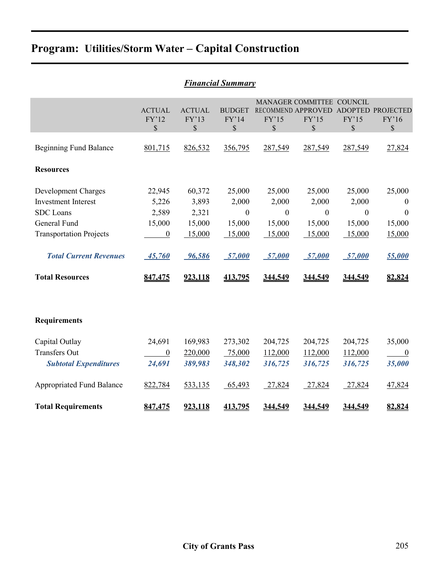| <b>Financial Summary</b>                                                                                                                                                           |                                                                           |                                                                   |                                                                              |                                                                              |                                                                                  |                                                                              |                                                                                |  |  |
|------------------------------------------------------------------------------------------------------------------------------------------------------------------------------------|---------------------------------------------------------------------------|-------------------------------------------------------------------|------------------------------------------------------------------------------|------------------------------------------------------------------------------|----------------------------------------------------------------------------------|------------------------------------------------------------------------------|--------------------------------------------------------------------------------|--|--|
|                                                                                                                                                                                    | <b>ACTUAL</b><br>FY'12<br>\$                                              | <b>ACTUAL</b><br>FY'13<br>\$                                      | <b>BUDGET</b><br>FY'14<br>$\mathbb{S}$                                       | FY'15<br>$\mathbb{S}$                                                        | MANAGER COMMITTEE COUNCIL<br>RECOMMEND APPROVED ADOPTED PROJECTED<br>FY'15<br>\$ | FY'15<br>\$                                                                  | FY'16<br>$\mathbb{S}$                                                          |  |  |
| <b>Beginning Fund Balance</b>                                                                                                                                                      | 801,715                                                                   | 826,532                                                           | 356,795                                                                      | 287,549                                                                      | 287,549                                                                          | 287,549                                                                      | 27,824                                                                         |  |  |
| <b>Resources</b>                                                                                                                                                                   |                                                                           |                                                                   |                                                                              |                                                                              |                                                                                  |                                                                              |                                                                                |  |  |
| Development Charges<br><b>Investment Interest</b><br><b>SDC</b> Loans<br>General Fund<br><b>Transportation Projects</b><br><b>Total Current Revenues</b><br><b>Total Resources</b> | 22,945<br>5,226<br>2,589<br>15,000<br>$\overline{0}$<br>45,760<br>847,475 | 60,372<br>3,893<br>2,321<br>15,000<br>15,000<br>96,586<br>923,118 | 25,000<br>2,000<br>$\boldsymbol{0}$<br>15,000<br>15,000<br>57,000<br>413,795 | 25,000<br>2,000<br>$\boldsymbol{0}$<br>15,000<br>15,000<br>57,000<br>344,549 | 25,000<br>2,000<br>$\boldsymbol{0}$<br>15,000<br>15,000<br>57,000<br>344,549     | 25,000<br>2,000<br>$\boldsymbol{0}$<br>15,000<br>15,000<br>57,000<br>344,549 | 25,000<br>$\theta$<br>$\boldsymbol{0}$<br>15,000<br>15,000<br>55,000<br>82,824 |  |  |
| <b>Requirements</b>                                                                                                                                                                |                                                                           |                                                                   |                                                                              |                                                                              |                                                                                  |                                                                              |                                                                                |  |  |
| Capital Outlay<br><b>Transfers Out</b><br><b>Subtotal Expenditures</b>                                                                                                             | 24,691<br>$\overline{0}$<br>24,691                                        | 169,983<br>220,000<br>389,983                                     | 273,302<br>75,000<br>348,302                                                 | 204,725<br>112,000<br>316,725                                                | 204,725<br>112,000<br>316,725                                                    | 204,725<br>112,000<br>316,725                                                | 35,000<br>$\overline{0}$<br>35,000                                             |  |  |
| <b>Appropriated Fund Balance</b><br><b>Total Requirements</b>                                                                                                                      | 822,784<br>847,475                                                        | 533,135<br>923,118                                                | 65,493<br>413,795                                                            | 27,824<br>344,549                                                            | 27,824<br>344,549                                                                | 27,824<br>344,549                                                            | 47,824<br>82,824                                                               |  |  |